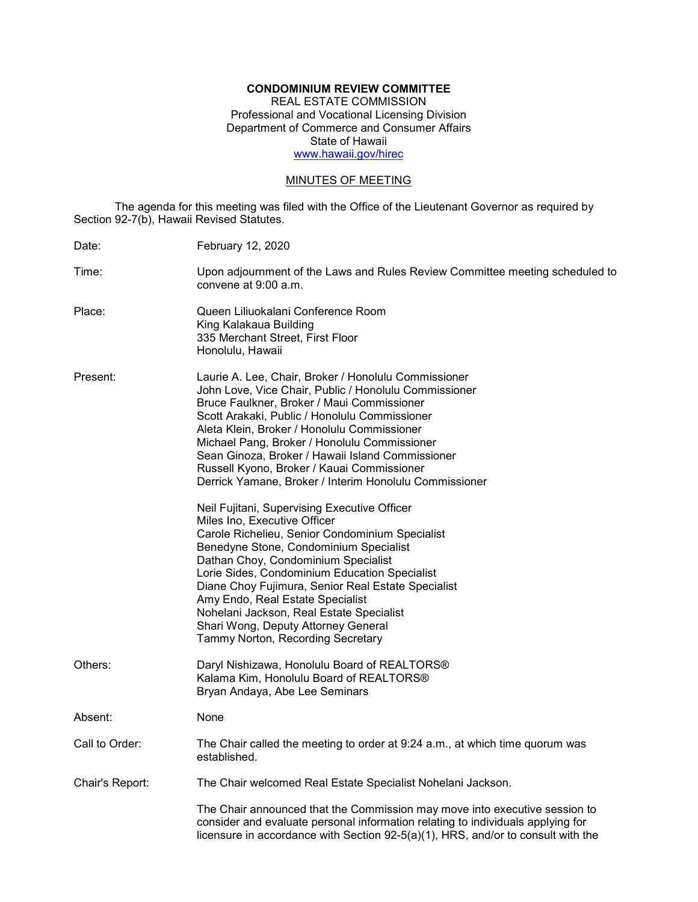# **CONDOMINIUM REVIEW COMMITTEE**

REAL ESTATE COMMISSION Professional and Vocational Licensing Division Department of Commerce and Consumer Affairs State of Hawaii [www.hawaii.gov/hirec](http://www.state.hi.us/hirec)

# MINUTES OF MEETING

The agenda for this meeting was filed with the Office of the Lieutenant Governor as required by Section 92-7(b), Hawaii Revised Statutes.

| Date:           | <b>February 12, 2020</b>                                                                                                                                                                                                                                                                                                                                                                                                                                                                                                                                                                                                                                                                                                                                                                                                                                                                                                                                       |
|-----------------|----------------------------------------------------------------------------------------------------------------------------------------------------------------------------------------------------------------------------------------------------------------------------------------------------------------------------------------------------------------------------------------------------------------------------------------------------------------------------------------------------------------------------------------------------------------------------------------------------------------------------------------------------------------------------------------------------------------------------------------------------------------------------------------------------------------------------------------------------------------------------------------------------------------------------------------------------------------|
| Time:           | Upon adjournment of the Laws and Rules Review Committee meeting scheduled to<br>convene at 9:00 a.m.                                                                                                                                                                                                                                                                                                                                                                                                                                                                                                                                                                                                                                                                                                                                                                                                                                                           |
| Place:          | Queen Liliuokalani Conference Room<br>King Kalakaua Building<br>335 Merchant Street, First Floor<br>Honolulu, Hawaii                                                                                                                                                                                                                                                                                                                                                                                                                                                                                                                                                                                                                                                                                                                                                                                                                                           |
| Present:        | Laurie A. Lee, Chair, Broker / Honolulu Commissioner<br>John Love, Vice Chair, Public / Honolulu Commissioner<br>Bruce Faulkner, Broker / Maui Commissioner<br>Scott Arakaki, Public / Honolulu Commissioner<br>Aleta Klein, Broker / Honolulu Commissioner<br>Michael Pang, Broker / Honolulu Commissioner<br>Sean Ginoza, Broker / Hawaii Island Commissioner<br>Russell Kyono, Broker / Kauai Commissioner<br>Derrick Yamane, Broker / Interim Honolulu Commissioner<br>Neil Fujitani, Supervising Executive Officer<br>Miles Ino, Executive Officer<br>Carole Richelieu, Senior Condominium Specialist<br>Benedyne Stone, Condominium Specialist<br>Dathan Choy, Condominium Specialist<br>Lorie Sides, Condominium Education Specialist<br>Diane Choy Fujimura, Senior Real Estate Specialist<br>Amy Endo, Real Estate Specialist<br>Nohelani Jackson, Real Estate Specialist<br>Shari Wong, Deputy Attorney General<br>Tammy Norton, Recording Secretary |
| Others:         | Daryl Nishizawa, Honolulu Board of REALTORS®<br>Kalama Kim, Honolulu Board of REALTORS®<br>Bryan Andaya, Abe Lee Seminars                                                                                                                                                                                                                                                                                                                                                                                                                                                                                                                                                                                                                                                                                                                                                                                                                                      |
| Absent:         | None                                                                                                                                                                                                                                                                                                                                                                                                                                                                                                                                                                                                                                                                                                                                                                                                                                                                                                                                                           |
| Call to Order:  | The Chair called the meeting to order at 9:24 a.m., at which time quorum was<br>established.                                                                                                                                                                                                                                                                                                                                                                                                                                                                                                                                                                                                                                                                                                                                                                                                                                                                   |
| Chair's Report: | The Chair welcomed Real Estate Specialist Nohelani Jackson.                                                                                                                                                                                                                                                                                                                                                                                                                                                                                                                                                                                                                                                                                                                                                                                                                                                                                                    |
|                 | The Chair announced that the Commission may move into executive session to<br>consider and evaluate personal information relating to individuals applying for<br>licensure in accordance with Section 92-5(a)(1), HRS, and/or to consult with the                                                                                                                                                                                                                                                                                                                                                                                                                                                                                                                                                                                                                                                                                                              |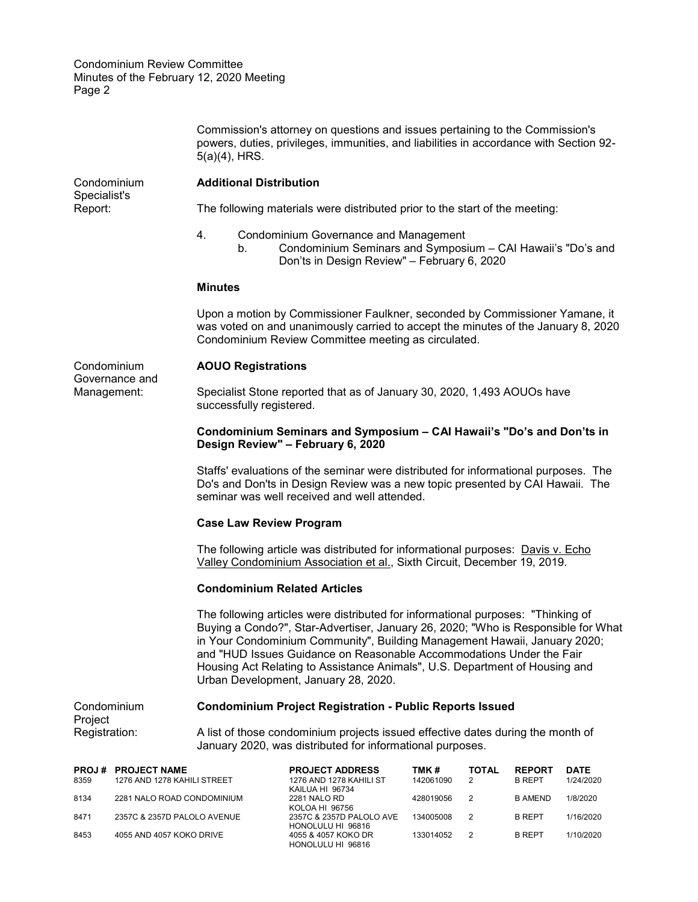|                                              |                                                                                                     | $5(a)(4)$ , HRS.                                                                                                                                                                                                                                                                                                                                                                                                                                  | Commission's attorney on questions and issues pertaining to the Commission's<br>powers, duties, privileges, immunities, and liabilities in accordance with Section 92- |                    |            |                                |                   |  |
|----------------------------------------------|-----------------------------------------------------------------------------------------------------|---------------------------------------------------------------------------------------------------------------------------------------------------------------------------------------------------------------------------------------------------------------------------------------------------------------------------------------------------------------------------------------------------------------------------------------------------|------------------------------------------------------------------------------------------------------------------------------------------------------------------------|--------------------|------------|--------------------------------|-------------------|--|
| Condominium<br>Specialist's<br>Report:       |                                                                                                     | <b>Additional Distribution</b>                                                                                                                                                                                                                                                                                                                                                                                                                    |                                                                                                                                                                        |                    |            |                                |                   |  |
|                                              | The following materials were distributed prior to the start of the meeting:                         |                                                                                                                                                                                                                                                                                                                                                                                                                                                   |                                                                                                                                                                        |                    |            |                                |                   |  |
|                                              |                                                                                                     | 4.<br>b.                                                                                                                                                                                                                                                                                                                                                                                                                                          | <b>Condominium Governance and Management</b><br>Condominium Seminars and Symposium - CAI Hawaii's "Do's and<br>Don'ts in Design Review" - February 6, 2020             |                    |            |                                |                   |  |
|                                              |                                                                                                     | <b>Minutes</b>                                                                                                                                                                                                                                                                                                                                                                                                                                    |                                                                                                                                                                        |                    |            |                                |                   |  |
|                                              |                                                                                                     | Upon a motion by Commissioner Faulkner, seconded by Commissioner Yamane, it<br>was voted on and unanimously carried to accept the minutes of the January 8, 2020<br>Condominium Review Committee meeting as circulated.                                                                                                                                                                                                                           |                                                                                                                                                                        |                    |            |                                |                   |  |
| Condominium<br>Governance and<br>Management: |                                                                                                     | <b>AOUO Registrations</b>                                                                                                                                                                                                                                                                                                                                                                                                                         |                                                                                                                                                                        |                    |            |                                |                   |  |
|                                              | Specialist Stone reported that as of January 30, 2020, 1,493 AOUOs have<br>successfully registered. |                                                                                                                                                                                                                                                                                                                                                                                                                                                   |                                                                                                                                                                        |                    |            |                                |                   |  |
|                                              |                                                                                                     | Condominium Seminars and Symposium - CAI Hawaii's "Do's and Don'ts in<br>Design Review" - February 6, 2020                                                                                                                                                                                                                                                                                                                                        |                                                                                                                                                                        |                    |            |                                |                   |  |
|                                              |                                                                                                     | Staffs' evaluations of the seminar were distributed for informational purposes. The<br>Do's and Don'ts in Design Review was a new topic presented by CAI Hawaii. The<br>seminar was well received and well attended.                                                                                                                                                                                                                              |                                                                                                                                                                        |                    |            |                                |                   |  |
|                                              |                                                                                                     | <b>Case Law Review Program</b>                                                                                                                                                                                                                                                                                                                                                                                                                    |                                                                                                                                                                        |                    |            |                                |                   |  |
|                                              |                                                                                                     | The following article was distributed for informational purposes: Davis v. Echo<br>Valley Condominium Association et al., Sixth Circuit, December 19, 2019.                                                                                                                                                                                                                                                                                       |                                                                                                                                                                        |                    |            |                                |                   |  |
| <b>Condominium Related Articles</b>          |                                                                                                     |                                                                                                                                                                                                                                                                                                                                                                                                                                                   |                                                                                                                                                                        |                    |            |                                |                   |  |
|                                              |                                                                                                     | The following articles were distributed for informational purposes: "Thinking of<br>Buying a Condo?", Star-Advertiser, January 26, 2020; "Who is Responsible for What<br>in Your Condominium Community", Building Management Hawaii, January 2020;<br>and "HUD Issues Guidance on Reasonable Accommodations Under the Fair<br>Housing Act Relating to Assistance Animals", U.S. Department of Housing and<br>Urban Development, January 28, 2020. |                                                                                                                                                                        |                    |            |                                |                   |  |
| Condominium                                  |                                                                                                     | <b>Condominium Project Registration - Public Reports Issued</b>                                                                                                                                                                                                                                                                                                                                                                                   |                                                                                                                                                                        |                    |            |                                |                   |  |
| Project<br>Registration:                     |                                                                                                     | A list of those condominium projects issued effective dates during the month of<br>January 2020, was distributed for informational purposes.                                                                                                                                                                                                                                                                                                      |                                                                                                                                                                        |                    |            |                                |                   |  |
| PROJ #<br>8359                               | <b>PROJECT NAME</b><br>1276 AND 1278 KAHILI STREET                                                  |                                                                                                                                                                                                                                                                                                                                                                                                                                                   | <b>PROJECT ADDRESS</b><br>1276 AND 1278 KAHILI ST                                                                                                                      | TMK #<br>142061090 | TOTAL<br>2 | <b>REPORT</b><br><b>B REPT</b> | DATE<br>1/24/2020 |  |
| 8134                                         | 2281 NALO ROAD CONDOMINIUM                                                                          |                                                                                                                                                                                                                                                                                                                                                                                                                                                   | KAILUA HI 96734<br>2281 NALO RD                                                                                                                                        | 428019056          | 2          | <b>B AMEND</b>                 | 1/8/2020          |  |

KOLOA HI 96756 8471 2357C & 2357D PALOLO AVENUE 2357C & 2357D PALOLO AVE 134005008 2 B REPT 1/16/2020 HONOLULU HI 96816 8453 4055 AND 4057 KOKO DRIVE 4055 & 4057 KOKO DR 133014052 2 B REPT 1/10/2020 HONOLULU HI 96816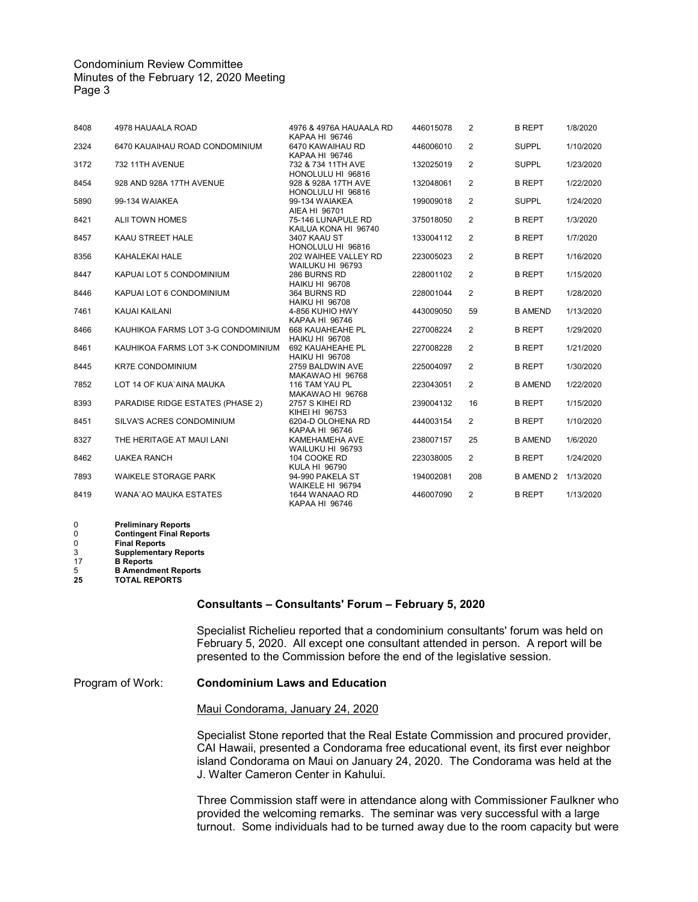| 8408 | 4978 HAUAALA ROAD                  | 4976 & 4976A HAUAALA RD<br>KAPAA HI 96746                   | 446015078 | 2              | <b>B REPT</b>    | 1/8/2020  |
|------|------------------------------------|-------------------------------------------------------------|-----------|----------------|------------------|-----------|
| 2324 | 6470 KAUAIHAU ROAD CONDOMINIUM     | 6470 KAWAIHAU RD<br>KAPAA HI 96746                          | 446006010 | 2              | <b>SUPPL</b>     | 1/10/2020 |
| 3172 | 732 11TH AVENUE                    | 732 & 734 11TH AVE                                          | 132025019 | $\overline{2}$ | <b>SUPPL</b>     | 1/23/2020 |
| 8454 | 928 AND 928A 17TH AVENUE           | HONOLULU HI 96816<br>928 & 928A 17TH AVE                    | 132048061 | $\overline{2}$ | <b>B REPT</b>    | 1/22/2020 |
| 5890 | 99-134 WAIAKEA                     | HONOLULU HI 96816<br>99-134 WAIAKEA                         | 199009018 | 2              | <b>SUPPL</b>     | 1/24/2020 |
| 8421 | ALII TOWN HOMES                    | AIEA HI 96701<br>75-146 LUNAPULE RD<br>KAILUA KONA HI 96740 | 375018050 | 2              | <b>B REPT</b>    | 1/3/2020  |
| 8457 | KAAU STREET HALE                   | 3407 KAAU ST<br>HONOLULU HI 96816                           | 133004112 | $\overline{2}$ | <b>B REPT</b>    | 1/7/2020  |
| 8356 | KAHALEKAI HALE                     | 202 WAIHEE VALLEY RD<br>WAILUKU HI 96793                    | 223005023 | 2              | <b>B REPT</b>    | 1/16/2020 |
| 8447 | KAPUAI LOT 5 CONDOMINIUM           | 286 BURNS RD<br><b>HAIKU HI 96708</b>                       | 228001102 | 2              | <b>B REPT</b>    | 1/15/2020 |
| 8446 | KAPUAI LOT 6 CONDOMINIUM           | 364 BURNS RD                                                | 228001044 | 2              | <b>B REPT</b>    | 1/28/2020 |
| 7461 | KAUAI KAILANI                      | <b>HAIKU HI 96708</b><br>4-856 KUHIO HWY                    | 443009050 | 59             | <b>B AMEND</b>   | 1/13/2020 |
| 8466 | KAUHIKOA FARMS LOT 3-G CONDOMINIUM | <b>KAPAA HI 96746</b><br>668 KAUAHEAHE PL                   | 227008224 | 2              | <b>B REPT</b>    | 1/29/2020 |
| 8461 | KAUHIKOA FARMS LOT 3-K CONDOMINIUM | <b>HAIKU HI 96708</b><br>692 KAUAHEAHE PL                   | 227008228 | 2              | <b>B REPT</b>    | 1/21/2020 |
| 8445 | <b>KR7E CONDOMINIUM</b>            | <b>HAIKU HI 96708</b><br>2759 BALDWIN AVE                   | 225004097 | 2              | <b>B REPT</b>    | 1/30/2020 |
| 7852 | LOT 14 OF KUA'AINA MAUKA           | MAKAWAO HI 96768<br>116 TAM YAU PL                          | 223043051 | 2              | <b>B AMEND</b>   | 1/22/2020 |
| 8393 | PARADISE RIDGE ESTATES (PHASE 2)   | MAKAWAO HI 96768<br>2757 S KIHEI RD                         | 239004132 | 16             | <b>B REPT</b>    | 1/15/2020 |
| 8451 | SILVA'S ACRES CONDOMINIUM          | KIHEI HI 96753<br>6204-D OLOHENA RD                         | 444003154 | $\overline{2}$ | <b>B REPT</b>    | 1/10/2020 |
| 8327 | THE HERITAGE AT MAUI LANI          | KAPAA HI 96746<br>KAMEHAMEHA AVE                            | 238007157 | 25             | <b>B AMEND</b>   | 1/6/2020  |
| 8462 | <b>UAKEA RANCH</b>                 | WAILUKU HI 96793<br>104 COOKE RD                            | 223038005 | $\overline{2}$ | <b>B REPT</b>    | 1/24/2020 |
| 7893 | <b>WAIKELE STORAGE PARK</b>        | <b>KULA HI 96790</b><br>94-990 PAKELA ST                    | 194002081 | 208            | <b>B AMEND 2</b> | 1/13/2020 |
| 8419 | <b>WANA'AO MAUKA ESTATES</b>       | WAIKELE HI 96794<br>1644 WANAAO RD                          | 446007090 | $\overline{2}$ | <b>B REPT</b>    | 1/13/2020 |
|      |                                    | KAPAA HI 96746                                              |           |                |                  |           |

- 0 **Preliminary Reports**
- 0 **Contingent Final Reports**
- 0 **Final Reports**
- 3 **Supplementary Reports**
- 17 **B** Reports<br>5 **B** Amendm<br>25 **TOTAL RE** 5 **B Amendment Reports 25 TOTAL REPORTS**

## **Consultants – Consultants' Forum – February 5, 2020**

Specialist Richelieu reported that a condominium consultants' forum was held on February 5, 2020. All except one consultant attended in person. A report will be presented to the Commission before the end of the legislative session.

# Program of Work: **Condominium Laws and Education**

#### Maui Condorama, January 24, 2020

Specialist Stone reported that the Real Estate Commission and procured provider, CAI Hawaii, presented a Condorama free educational event, its first ever neighbor island Condorama on Maui on January 24, 2020. The Condorama was held at the J. Walter Cameron Center in Kahului.

Three Commission staff were in attendance along with Commissioner Faulkner who provided the welcoming remarks. The seminar was very successful with a large turnout. Some individuals had to be turned away due to the room capacity but were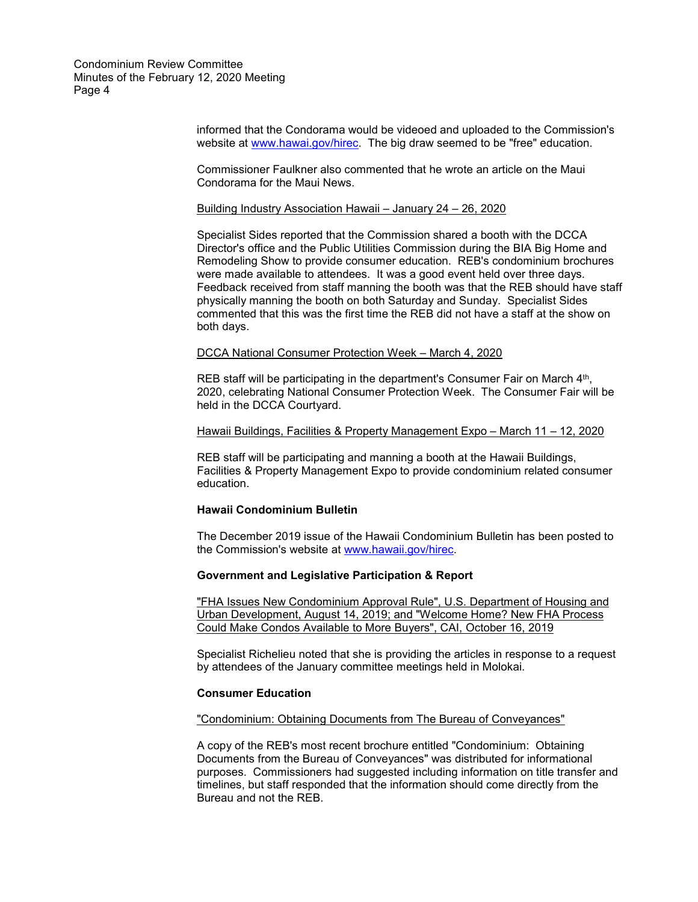> informed that the Condorama would be videoed and uploaded to the Commission's website at [www.hawai.gov/hirec.](http://www.hawai.gov/hirec) The big draw seemed to be "free" education.

Commissioner Faulkner also commented that he wrote an article on the Maui Condorama for the Maui News.

#### Building Industry Association Hawaii – January 24 – 26, 2020

Specialist Sides reported that the Commission shared a booth with the DCCA Director's office and the Public Utilities Commission during the BIA Big Home and Remodeling Show to provide consumer education. REB's condominium brochures were made available to attendees. It was a good event held over three days. Feedback received from staff manning the booth was that the REB should have staff physically manning the booth on both Saturday and Sunday. Specialist Sides commented that this was the first time the REB did not have a staff at the show on both days.

#### DCCA National Consumer Protection Week – March 4, 2020

REB staff will be participating in the department's Consumer Fair on March 4<sup>th</sup>, 2020, celebrating National Consumer Protection Week. The Consumer Fair will be held in the DCCA Courtyard.

#### Hawaii Buildings, Facilities & Property Management Expo - March 11 - 12, 2020

REB staff will be participating and manning a booth at the Hawaii Buildings, Facilities & Property Management Expo to provide condominium related consumer education.

# **Hawaii Condominium Bulletin**

The December 2019 issue of the Hawaii Condominium Bulletin has been posted to the Commission's website at [www.hawaii.gov/hirec.](http://www.hawaii.gov/hirec)

#### **Government and Legislative Participation & Report**

"FHA Issues New Condominium Approval Rule", U.S. Department of Housing and Urban Development, August 14, 2019; and "Welcome Home? New FHA Process Could Make Condos Available to More Buyers", CAI, October 16, 2019

Specialist Richelieu noted that she is providing the articles in response to a request by attendees of the January committee meetings held in Molokai.

## **Consumer Education**

"Condominium: Obtaining Documents from The Bureau of Conveyances"

A copy of the REB's most recent brochure entitled "Condominium: Obtaining Documents from the Bureau of Conveyances" was distributed for informational purposes. Commissioners had suggested including information on title transfer and timelines, but staff responded that the information should come directly from the Bureau and not the REB.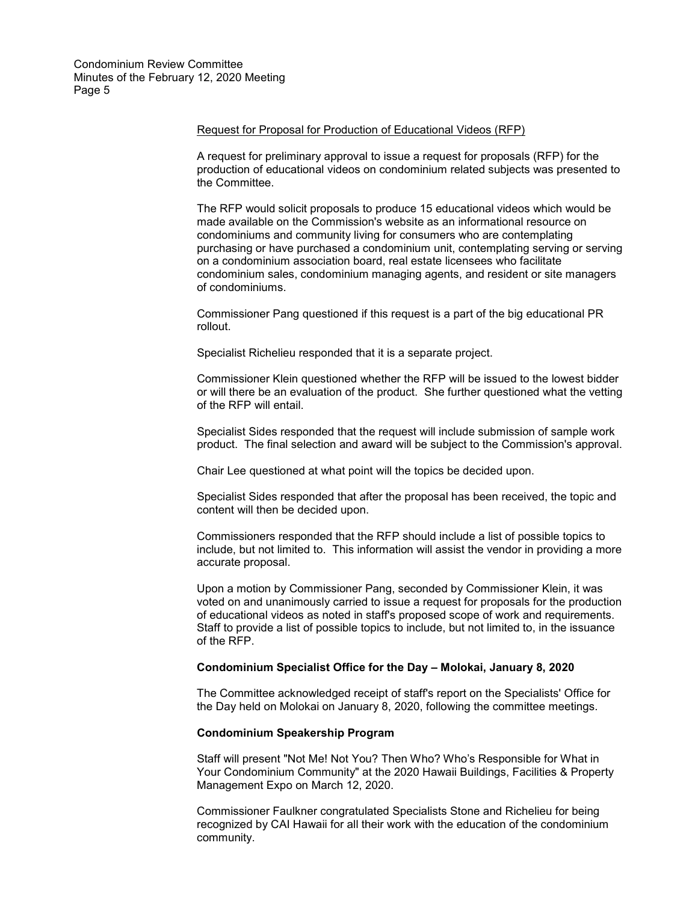#### Request for Proposal for Production of Educational Videos (RFP)

A request for preliminary approval to issue a request for proposals (RFP) for the production of educational videos on condominium related subjects was presented to the Committee.

The RFP would solicit proposals to produce 15 educational videos which would be made available on the Commission's website as an informational resource on condominiums and community living for consumers who are contemplating purchasing or have purchased a condominium unit, contemplating serving or serving on a condominium association board, real estate licensees who facilitate condominium sales, condominium managing agents, and resident or site managers of condominiums.

Commissioner Pang questioned if this request is a part of the big educational PR rollout.

Specialist Richelieu responded that it is a separate project.

Commissioner Klein questioned whether the RFP will be issued to the lowest bidder or will there be an evaluation of the product. She further questioned what the vetting of the RFP will entail.

Specialist Sides responded that the request will include submission of sample work product. The final selection and award will be subject to the Commission's approval.

Chair Lee questioned at what point will the topics be decided upon.

Specialist Sides responded that after the proposal has been received, the topic and content will then be decided upon.

Commissioners responded that the RFP should include a list of possible topics to include, but not limited to. This information will assist the vendor in providing a more accurate proposal.

Upon a motion by Commissioner Pang, seconded by Commissioner Klein, it was voted on and unanimously carried to issue a request for proposals for the production of educational videos as noted in staff's proposed scope of work and requirements. Staff to provide a list of possible topics to include, but not limited to, in the issuance of the RFP.

## **Condominium Specialist Office for the Day – Molokai, January 8, 2020**

The Committee acknowledged receipt of staff's report on the Specialists' Office for the Day held on Molokai on January 8, 2020, following the committee meetings.

## **Condominium Speakership Program**

Staff will present "Not Me! Not You? Then Who? Who's Responsible for What in Your Condominium Community" at the 2020 Hawaii Buildings, Facilities & Property Management Expo on March 12, 2020.

Commissioner Faulkner congratulated Specialists Stone and Richelieu for being recognized by CAI Hawaii for all their work with the education of the condominium community.